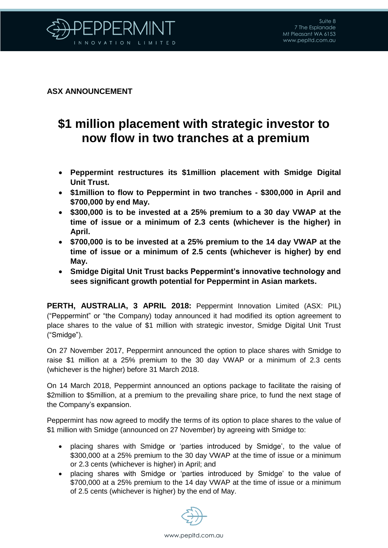

## **ASX ANNOUNCEMENT**

## **\$1 million placement with strategic investor to now flow in two tranches at a premium**

- **Peppermint restructures its \$1million placement with Smidge Digital Unit Trust.**
- **\$1million to flow to Peppermint in two tranches - \$300,000 in April and \$700,000 by end May.**
- **\$300,000 is to be invested at a 25% premium to a 30 day VWAP at the time of issue or a minimum of 2.3 cents (whichever is the higher) in April.**
- **\$700,000 is to be invested at a 25% premium to the 14 day VWAP at the time of issue or a minimum of 2.5 cents (whichever is higher) by end May.**
- **Smidge Digital Unit Trust backs Peppermint's innovative technology and sees significant growth potential for Peppermint in Asian markets.**

**PERTH, AUSTRALIA, 3 APRIL 2018:** Peppermint Innovation Limited (ASX: PIL) ("Peppermint" or "the Company) today announced it had modified its option agreement to place shares to the value of \$1 million with strategic investor, Smidge Digital Unit Trust ("Smidge").

On 27 November 2017, Peppermint announced the option to place shares with Smidge to raise \$1 million at a 25% premium to the 30 day VWAP or a minimum of 2.3 cents (whichever is the higher) before 31 March 2018.

On 14 March 2018, Peppermint announced an options package to facilitate the raising of \$2million to \$5million, at a premium to the prevailing share price, to fund the next stage of the Company's expansion.

Peppermint has now agreed to modify the terms of its option to place shares to the value of \$1 million with Smidge (announced on 27 November) by agreeing with Smidge to:

- placing shares with Smidge or 'parties introduced by Smidge', to the value of \$300,000 at a 25% premium to the 30 day VWAP at the time of issue or a minimum or 2.3 cents (whichever is higher) in April; and
- placing shares with Smidge or 'parties introduced by Smidge' to the value of \$700,000 at a 25% premium to the 14 day VWAP at the time of issue or a minimum of 2.5 cents (whichever is higher) by the end of May.